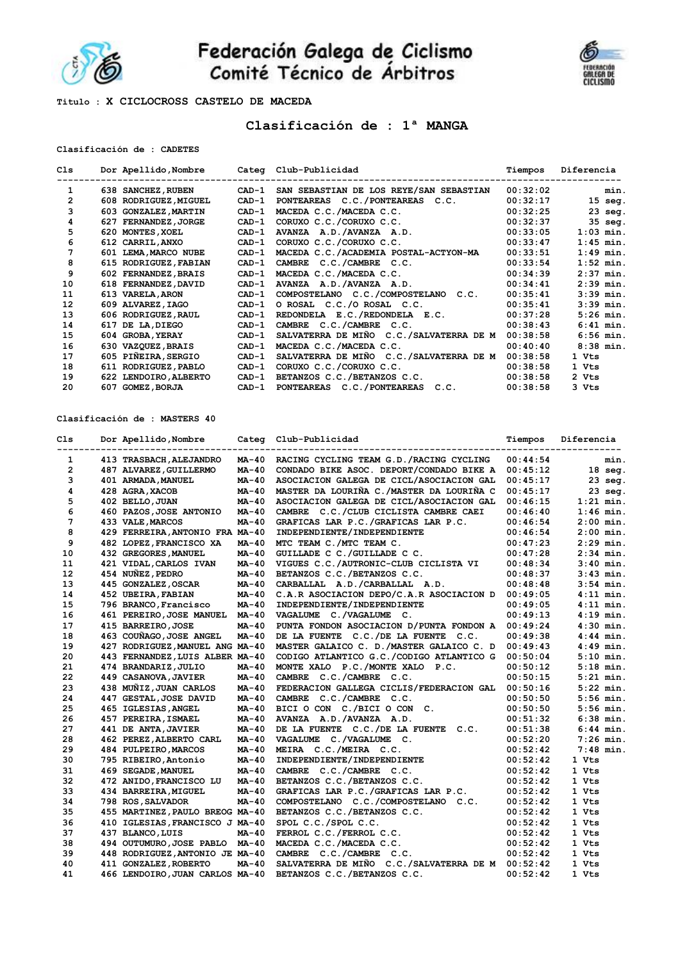

Federación Galega de Ciclismo<br>Comité Técnico de Árbitros



**Titulo : X CICLOCROSS CASTELO DE MACEDA** 

# **Clasificación de : 1ª MANGA**

# **Clasificación de : CADETES**

| Cls          |     | Dor Apellido, Nombre    |         | Categ Club-Publicidad                   | Tiempos  | Diferencia  |
|--------------|-----|-------------------------|---------|-----------------------------------------|----------|-------------|
| 1            |     | 638 SANCHEZ, RUBEN      | $CAD-1$ | SAN SEBASTIAN DE LOS REYE/SAN SEBASTIAN | 00:32:02 | min.        |
| $\mathbf{2}$ |     | 608 RODRIGUEZ, MIGUEL   | $CAD-1$ | PONTEAREAS C.C./PONTEAREAS C.C.         | 00:32:17 | $15$ seg.   |
| 3            |     | 603 GONZALEZ, MARTIN    | $CAD-1$ | MACEDA C.C./MACEDA C.C.                 | 00:32:25 | $23$ seg.   |
| 4            | 627 | <b>FERNANDEZ, JORGE</b> | $CAD-1$ | CORUXO C.C./CORUXO C.C.                 | 00:32:37 | 35 seg.     |
| 5            |     | 620 MONTES, XOEL        | $CAD-1$ | AVANZA A.D./AVANZA A.D.                 | 00:33:05 | $1:03$ min. |
| 6            |     | 612 CARRIL, ANXO        | $CAD-1$ | CORUXO C.C./CORUXO C.C.                 | 00:33:47 | $1:45$ min. |
| 7            |     | 601 LEMA, MARCO NUBE    | $CAD-1$ | MACEDA C.C./ACADEMIA POSTAL-ACTYON-MA   | 00:33:51 | $1:49$ min. |
| 8            |     | 615 RODRIGUEZ, FABIAN   | $CAD-1$ | CAMBRE C.C./CAMBRE C.C.                 | 00:33:54 | $1:52$ min. |
| 9            |     | 602 FERNANDEZ, BRAIS    | $CAD-1$ | MACEDA C.C./MACEDA C.C.                 | 00:34:39 | $2:37$ min. |
| 10           |     | 618 FERNANDEZ, DAVID    | $CAD-1$ | AVANZA A.D./AVANZA A.D.                 | 00:34:41 | $2:39$ min. |
| 11           |     | 613 VARELA, ARON        | $CAD-1$ | COMPOSTELANO C.C./COMPOSTELANO<br>C.C.  | 00:35:41 | $3:39$ min. |
| 12           |     | 609 ALVAREZ, IAGO       | $CAD-1$ | O ROSAL C.C./O ROSAL C.C.               | 00:35:41 | $3:39$ min. |
| 13           |     | 606 RODRIGUEZ, RAUL     | $CAD-1$ | REDONDELA E.C./REDONDELA E.C.           | 00:37:28 | $5:26$ min. |
| 14           | 617 | DE LA, DIEGO            | $CAD-1$ | CAMBRE C.C./CAMBRE C.C.                 | 00:38:43 | $6:41$ min. |
| 15           |     | 604 GROBA, YERAY        | $CAD-1$ | SALVATERRA DE MIÑO C.C./SALVATERRA DE M | 00:38:58 | $6:56$ min. |
| 16           |     | 630 VAZQUEZ, BRAIS      | $CAD-1$ | MACEDA C.C./MACEDA C.C.                 | 00:40:40 | $8:38$ min. |
| 17           |     | 605 PIÑEIRA, SERGIO     | $CAD-1$ | SALVATERRA DE MIÑO C.C./SALVATERRA DE M | 00:38:58 | 1 Vts       |
| 18           |     | 611 RODRIGUEZ, PABLO    | $CAD-1$ | CORUXO C.C./CORUXO C.C.                 | 00:38:58 | 1 Vts       |
| 19           |     | 622 LENDOIRO, ALBERTO   | $CAD-1$ | BETANZOS C.C./BETANZOS C.C.             | 00:38:58 | 2 Vts       |
| 20           | 607 | <b>GOMEZ, BORJA</b>     | $CAD-1$ | PONTEAREAS C.C./PONTEAREAS C.C.         | 00:38:58 | 3 Vts       |

**Clasificación de : MASTERS 40**

| Cls            | Dor Apellido, Nombre<br>-------------------------- |              | Categ Club-Publicidad<br>-------------------------- | Tiempos  | Diferencia<br>--------- |
|----------------|----------------------------------------------------|--------------|-----------------------------------------------------|----------|-------------------------|
| $\mathbf{1}$   | -----------------<br>413 TRASBACH, ALEJANDRO       | MA-40        | RACING CYCLING TEAM G.D. / RACING CYCLING           | 00:44:54 | min.                    |
| $\overline{2}$ | 487 ALVAREZ, GUILLERMO                             | MA-40        | CONDADO BIKE ASOC. DEPORT/CONDADO BIKE A            | 00:45:12 | $18$ seg.               |
| 3              | 401 ARMADA, MANUEL                                 | MA-40        | ASOCIACION GALEGA DE CICL/ASOCIACION GAL            | 00:45:17 | 23 seg.                 |
| 4              | 428 AGRA, XACOB                                    | MA-40        | MASTER DA LOURIÑA C./MASTER DA LOURIÑA C            | 00:45:17 | $23$ seq.               |
| 5              | 402 BELLO, JUAN                                    | MA-40        | ASOCIACION GALEGA DE CICL/ASOCIACION GAL            | 00:46:15 | $1:21$ min.             |
| 6              | 460 PAZOS, JOSE ANTONIO                            | MA-40        | CAMBRE C.C./CLUB CICLISTA CAMBRE CAEI               | 00:46:40 | $1:46$ min.             |
| 7              | 433 VALE, MARCOS                                   | <b>MA-40</b> | GRAFICAS LAR P.C./GRAFICAS LAR P.C.                 | 00:46:54 | $2:00$ min.             |
| 8              | 429 FERREIRA, ANTONIO FRA MA-40                    |              | INDEPENDIENTE/INDEPENDIENTE                         | 00:46:54 | $2:00$ min.             |
| 9              | 482 LOPEZ, FRANCISCO XA                            | MA-40        | MTC TEAM C./MTC TEAM C.                             | 00:47:23 | $2:29$ min.             |
| 10             | 432 GREGORES, MANUEL                               | MA-40        | GUILLADE C C./GUILLADE C C.                         | 00:47:28 | $2:34$ min.             |
| 11             | 421 VIDAL, CARLOS IVAN                             | MA-40        | VIGUES C.C./AUTRONIC-CLUB CICLISTA VI               | 00:48:34 | $3:40$ min.             |
| 12             | 454 NUÑEZ, PEDRO                                   | MA-40        | BETANZOS C.C./BETANZOS C.C.                         | 00:48:37 | $3:43$ min.             |
| 13             | 445 GONZALEZ, OSCAR                                | $MA-40$      | CARBALLAL A.D./CARBALLAL A.D.                       | 00:48:48 | $3:54$ min.             |
| 14             | 452 UBEIRA, FABIAN                                 | $MA-40$      | C.A.R ASOCIACION DEPO/C.A.R ASOCIACION D            | 00:49:05 | $4:11$ min.             |
| 15             | 796 BRANCO, Francisco                              | $MA-40$      | INDEPENDIENTE/INDEPENDIENTE                         | 00:49:05 | $4:11$ min.             |
| 16             | 461 PEREIRO, JOSE MANUEL                           | $MA-40$      | VAGALUME C./VAGALUME C.                             | 00:49:13 | $4:19$ min.             |
| 17             | 415 BARREIRO, JOSE                                 | MA-40        | PUNTA FONDON ASOCIACION D/PUNTA FONDON A            | 00:49:24 | $4:30$ min.             |
| 18             | 463 COUÑAGO, JOSE ANGEL                            | MA-40        | DE LA FUENTE C.C./DE LA FUENTE C.C.                 | 00:49:38 | $4:44$ min.             |
| 19             | 427 RODRIGUEZ, MANUEL ANG MA-40                    |              | MASTER GALAICO C. D. / MASTER GALAICO C. D          | 00:49:43 | $4:49$ min.             |
| 20             | 443 FERNANDEZ, LUIS ALBER MA-40                    |              | CODIGO ATLANTICO G.C./CODIGO ATLANTICO G            | 00:50:04 | $5:10$ min.             |
| 21             | 474 BRANDARIZ, JULIO                               | MA-40        | MONTE XALO P.C./MONTE XALO P.C.                     | 00:50:12 | $5:18$ min.             |
| 22             | 449 CASANOVA, JAVIER                               | MA-40        | CAMBRE C.C./CAMBRE C.C.                             | 00:50:15 | $5:21$ min.             |
| 23             | 438 MUÑIZ, JUAN CARLOS                             | $MA-40$      | FEDERACION GALLEGA CICLIS/FEDERACION GAL            | 00:50:16 | $5:22$ min.             |
| 24             | 447 GESTAL, JOSE DAVID                             | $MA-40$      | CAMBRE C.C./CAMBRE C.C.                             | 00:50:50 | $5:56$ min.             |
| 25             | 465 IGLESIAS, ANGEL                                | <b>MA-40</b> | BICI O CON C./BICI O CON C.                         | 00:50:50 | $5:56$ min.             |
| 26             | 457 PEREIRA, ISMAEL                                | MA-40        | AVANZA A.D./AVANZA A.D.                             | 00:51:32 | $6:38$ min.             |
| 27             | 441 DE ANTA, JAVIER                                | MA-40        | DE LA FUENTE C.C./DE LA FUENTE C.C.                 | 00:51:38 | $6:44$ min.             |
| 28             | 462 PEREZ, ALBERTO CARL                            | $MA-40$      | VAGALUME C./VAGALUME C.                             | 00:52:20 | $7:26$ min.             |
| 29             | 484 PULPEIRO, MARCOS                               | MA-40        | MEIRA C.C./MEIRA C.C.                               | 00:52:42 | $7:48$ min.             |
| 30             | 795 RIBEIRO, Antonio                               | $MA-40$      | INDEPENDIENTE/INDEPENDIENTE                         | 00:52:42 | 1 Vts                   |
| 31             | 469 SEGADE, MANUEL                                 | MA-40        | CAMBRE C.C./CAMBRE C.C.                             | 00:52:42 | 1 Vts                   |
| 32             | 472 ANIDO, FRANCISCO LU                            | MA-40        | BETANZOS C.C./BETANZOS C.C.                         | 00:52:42 | 1 Vts                   |
| 33             | 434 BARREIRA, MIGUEL                               | MA-40        | GRAFICAS LAR P.C./GRAFICAS LAR P.C.                 | 00:52:42 | 1 Vts                   |
| 34             | 798 ROS, SALVADOR                                  | MA-40        | COMPOSTELANO C.C./COMPOSTELANO C.C.                 | 00:52:42 | 1 Vts                   |
| 35             | 455 MARTINEZ, PAULO BREOG MA-40                    |              | BETANZOS C.C./BETANZOS C.C.                         | 00:52:42 | 1 Vts                   |
| 36             | 410 IGLESIAS, FRANCISCO J MA-40                    |              | SPOL C.C./SPOL C.C.                                 | 00:52:42 | 1 Vts                   |
| 37             | 437 BLANCO, LUIS                                   | MA-40        | FERROL C.C./FERROL C.C.                             | 00:52:42 | 1 Vts                   |
| 38             | 494 OUTUMURO, JOSE PABLO MA-40                     |              | MACEDA C.C./MACEDA C.C.                             | 00:52:42 | 1 Vts                   |
| 39             | 448 RODRIGUEZ, ANTONIO JE MA-40                    |              | CAMBRE C.C./CAMBRE C.C.                             | 00:52:42 | 1 Vts                   |
| 40             | 411 GONZALEZ, ROBERTO                              | MA-40        | SALVATERRA DE MIÑO C.C./SALVATERRA DE M 00:52:42    |          | 1 Vts                   |
| 41             | 466 LENDOIRO, JUAN CARLOS MA-40                    |              | BETANZOS C.C./BETANZOS C.C.                         | 00:52:42 | 1 Vts                   |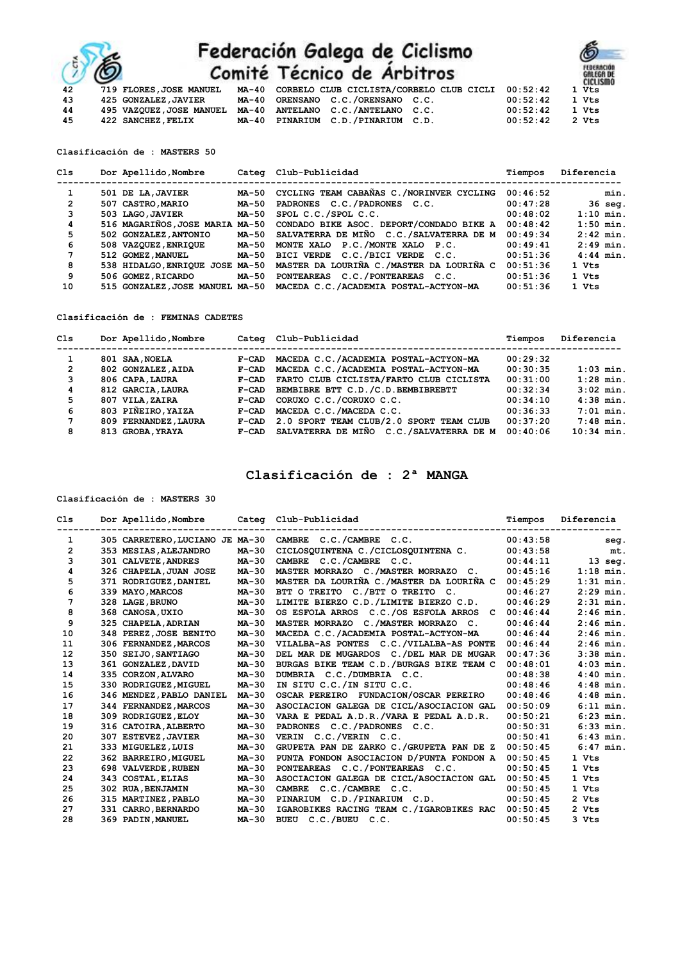

# Federación Galega de Ciclismo<br>Comité Técnico de Árbitros

| Lechico de Arbitros                               |          | <b>GALEGA DE</b><br><b>CICLISMO</b> |
|---------------------------------------------------|----------|-------------------------------------|
| CORBELO CLUB CICLISTA/CORBELO CLUB CICLI 00:52:42 |          | 1 Vts                               |
| ORENSANO C.C./ORENSANO C.C.                       | 00:52:42 | 1 Vts                               |
| ANTELANO C.C./ANTELANO C.C.                       | 00:52:42 | 1 Vts                               |
| PINARIUM C.D./PINARIUM C.D.                       | 00:52:42 | 2 Vts                               |

**Clasificación de : MASTERS 50**

**43** 425 GONZALEZ, JAVIER<br>**44** 495 VAZQUEZ, JOSE MANI

**44 495 VAZQUEZ,JOSE MANUEL MA-40<br>45 422 SANCHEZ,FELIX MA-40 45 422 SANCHEZ,FELIX MA-40 PINARIUM C.D./PINARIUM C.D. 00:52:42 2 Vts** 

| C1s            | Dor Apellido, Nombre            |       | Categ Club-Publicidad                                                    | Tiempos  | Diferencia  |
|----------------|---------------------------------|-------|--------------------------------------------------------------------------|----------|-------------|
|                | 501 DE LA, JAVIER               | MA-50 | CYCLING TEAM CABAÑAS C./NORINVER CYCLING                                 | 00:46:52 | min.        |
| $\overline{2}$ | 507 CASTRO, MARIO               | MA-50 | PADRONES C.C./PADRONES C.C.                                              | 00:47:28 | $36$ seq.   |
| 3              | 503 LAGO, JAVIER                | MA-50 | SPOL C.C./SPOL C.C.                                                      | 00:48:02 | $1:10$ min. |
| 4              | 516 MAGARIÑOS, JOSE MARIA MA-50 |       | CONDADO BIKE ASOC. DEPORT/CONDADO BIKE A                                 | 00:48:42 | $1:50$ min. |
| 5              | 502 GONZALEZ, ANTONIO           | MA-50 | SALVATERRA DE MIÑO C.C./SALVATERRA DE M                                  | 00:49:34 | $2:42$ min. |
| 6              | 508 VAZQUEZ, ENRIQUE            | MA-50 | MONTE XALO P.C./MONTE XALO P.C.                                          | 00:49:41 | $2:49$ min. |
| 7              | 512 GOMEZ, MANUEL               | MA-50 | BICI VERDE C.C./BICI VERDE C.C.                                          | 00:51:36 | $4:44$ min. |
| 8              |                                 |       | 538 HIDALGO, ENRIQUE JOSE MA-50 MASTER DA LOURIÑA C./MASTER DA LOURIÑA C | 00:51:36 | 1 Vts       |
| 9              | 506 GOMEZ, RICARDO              | MA-50 | PONTEAREAS C.C./PONTEAREAS C.C.                                          | 00:51:36 | 1 Vts       |
| 10             |                                 |       | 515 GONZALEZ, JOSE MANUEL MA-50 MACEDA C.C. / ACADEMIA POSTAL-ACTYON-MA  | 00:51:36 | 1 Vts       |

**Clasificación de : FEMINAS CADETES**

| C1s            | Dor Apellido, Nombre |         | Categ Club-Publicidad                   | Tiempos  | Diferencia   |
|----------------|----------------------|---------|-----------------------------------------|----------|--------------|
|                |                      |         |                                         |          |              |
|                | 801 SAA, NOELA       | $F-CAD$ | MACEDA C.C./ACADEMIA POSTAL-ACTYON-MA   | 00:29:32 |              |
| $\overline{2}$ | 802 GONZALEZ.AIDA    | $F-CAD$ | MACEDA C.C./ACADEMIA POSTAL-ACTYON-MA   | 00:30:35 | $1:03$ min.  |
| 3              | 806 CAPA, LAURA      | $F-CAD$ | FARTO CLUB CICLISTA/FARTO CLUB CICLISTA | 00:31:00 | $1:28$ min.  |
| 4              | 812 GARCIA, LAURA    | $F-CAD$ | BEMBIBRE BTT C.D. /C.D. BEMBIBREBTT     | 00:32:34 | $3:02$ min.  |
| 5              | 807 VILA, ZAIRA      | $F-CAD$ | CORUXO C.C./CORUXO C.C.                 | 00:34:10 | $4:38$ min.  |
| 6              | 803 PIÑEIRO, YAIZA   | $F-CAD$ | MACEDA C.C./MACEDA C.C.                 | 00:36:33 | $7:01$ min.  |
| 7              | 809 FERNANDEZ, LAURA | $F-CAD$ | 2.0 SPORT TEAM CLUB/2.0 SPORT TEAM CLUB | 00:37:20 | $7:48$ min.  |
| 8              | 813 GROBA, YRAYA     | $F-CAD$ | SALVATERRA DE MIÑO C.C./SALVATERRA DE M | 00:40:06 | $10:34$ min. |

# **Clasificación de : 2ª MANGA**

**Clasificación de : MASTERS 30**

| C1s            | Dor Apellido, Nombre            | Categ   | Club-Publicidad                            | Tiempos  | Diferencia     |
|----------------|---------------------------------|---------|--------------------------------------------|----------|----------------|
| 1              | 305 CARRETERO, LUCIANO JE MA-30 |         | CAMBRE C.C./CAMBRE C.C.                    | 00:43:58 | seg.           |
| $\overline{2}$ | 353 MESIAS, ALEJANDRO           | MA-30   | CICLOSQUINTENA C./CICLOSQUINTENA C.        | 00:43:58 | mt.            |
| 3              | 301 CALVETE, ANDRES             | $MA-30$ | CAMBRE C.C./CAMBRE C.C.                    | 00:44:11 | $13$ seq.      |
| 4              | 326 CHAPELA, JUAN JOSE          | $MA-30$ | MASTER MORRAZO C./MASTER MORRAZO C.        | 00:45:16 | $1:18$ min.    |
| 5              | 371 RODRIGUEZ, DANIEL           | MA-30   | MASTER DA LOURIÑA C./MASTER DA LOURIÑA C   | 00:45:29 | $1:31$ min.    |
| 6              | 339 MAYO, MARCOS                | $MA-30$ | BTT O TREITO C./BTT O TREITO C.            | 00:46:27 | $2:29$ min.    |
| 7              | 328 LAGE, BRUNO                 | MA-30   | LIMITE BIERZO C.D./LIMITE BIERZO C.D.      | 00:46:29 | $2:31$ min.    |
| 8              | 368 CANOSA, UXIO                | MA-30   | OS ESFOLA ARROS C.C./OS ESFOLA ARROS C     | 00:46:44 | $2:46$ min.    |
| 9              | 325 CHAPELA, ADRIAN             | $MA-30$ | MASTER MORRAZO C./MASTER MORRAZO C.        | 00:46:44 | $2:46$ min.    |
| 10             | 348 PEREZ, JOSE BENITO          | $MA-30$ | MACEDA C.C./ACADEMIA POSTAL-ACTYON-MA      | 00:46:44 | $2:46$ min.    |
| 11             | 306 FERNANDEZ, MARCOS           | $MA-30$ | VILALBA-AS PONTES C.C./VILALBA-AS PONTE    | 00:46:44 | $2:46$ min.    |
| 12             | 350 SEIJO, SANTIAGO             | MA-30   | DEL MAR DE MUGARDOS C./DEL MAR DE MUGAR    | 00:47:36 | $3:38$ min.    |
| 13             | 361 GONZALEZ, DAVID             | MA-30   | BURGAS BIKE TEAM C.D. / BURGAS BIKE TEAM C | 00:48:01 | $4:03$ min.    |
| 14             | 335 CORZON, ALVARO              | MA-30   | DUMBRIA C.C./DUMBRIA C.C.                  | 00:48:38 | $4:40$ min.    |
| 15             | 330 RODRIGUEZ, MIGUEL           | $MA-30$ | IN SITU C.C./IN SITU C.C.                  | 00:48:46 | $4:48$ min.    |
| 16             | 346 MENDEZ, PABLO DANIEL        | MA-30   | OSCAR PEREIRO FUNDACION/OSCAR PEREIRO      | 00:48:46 | $4:48$ min.    |
| 17             | 344 FERNANDEZ, MARCOS           | MA-30   | ASOCIACION GALEGA DE CICL/ASOCIACION GAL   | 00:50:09 | $6:11$ min.    |
| 18             | 309 RODRIGUEZ, ELOY             | $MA-30$ | VARA E PEDAL A.D.R./VARA E PEDAL A.D.R.    | 00:50:21 | $6:23$ min.    |
| 19             | 316 CATOIRA, ALBERTO            | MA-30   | PADRONES C.C./PADRONES C.C.                | 00:50:31 | $6:33$ min.    |
| 20             | 307 ESTEVEZ, JAVIER             | $MA-30$ | VERIN C.C./VERIN C.C.                      | 00:50:41 | $6:43$ min.    |
| 21             | 333 MIGUELEZ.LUIS               | MA-30   | GRUPETA PAN DE ZARKO C./GRUPETA PAN DE Z   | 00:50:45 | $6:47$ min.    |
| 22             | 362 BARREIRO, MIGUEL            | $MA-30$ | PUNTA FONDON ASOCIACION D/PUNTA FONDON A   | 00:50:45 | 1 Vts          |
| 23             | 698 VALVERDE, RUBEN             | MA-30   | PONTEAREAS C.C./PONTEAREAS C.C.            | 00:50:45 | 1 Vts          |
| 24             | 343 COSTAL, ELIAS               | MA-30   | ASOCIACION GALEGA DE CICL/ASOCIACION GAL   | 00:50:45 | 1 Vts          |
| 25             | 302 RUA, BENJAMIN               | MA-30   | CAMBRE C.C./CAMBRE C.C.                    | 00:50:45 | 1 Vts          |
| 26             | 315 MARTINEZ, PABLO             | $MA-30$ | C.D./PINARIUM C.D.<br>PINARIUM             | 00:50:45 | $2 \text{Vts}$ |
| 27             | 331 CARRO, BERNARDO             | MA-30   | IGAROBIKES RACING TEAM C./IGAROBIKES RAC   | 00:50:45 | 2 Vts          |
| 28             | 369 PADIN, MANUEL               | MA-30   | BUEU C.C./BUEU C.C.                        | 00:50:45 | 3 Vts          |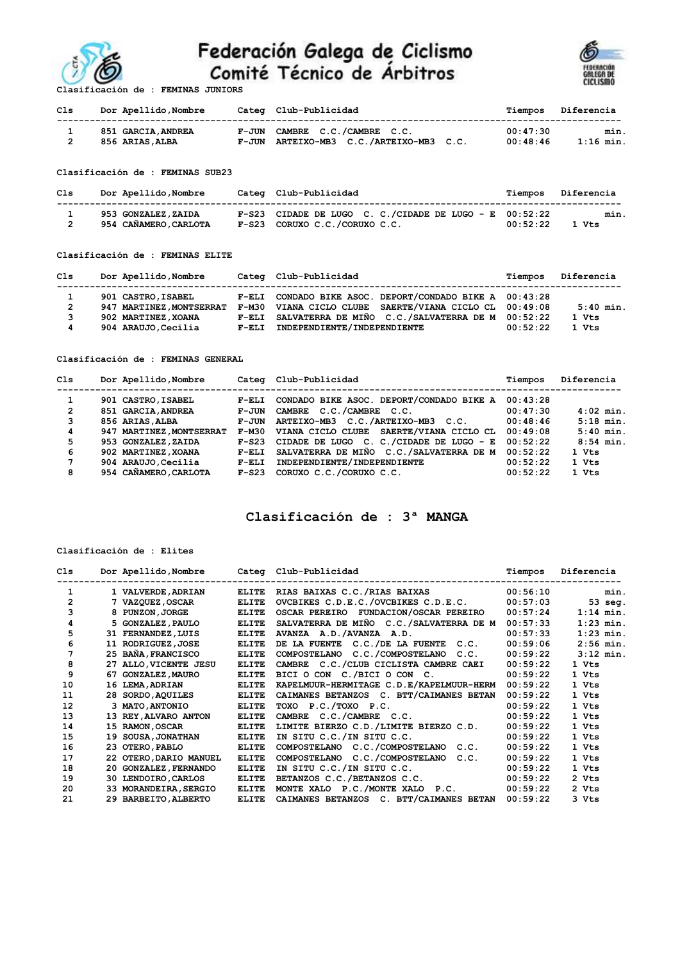

# Federación Galega de Ciclismo<br>Comité Técnico de Árbitros



| Cls | Dor Apellido, Nombre | Categ Club-Publicidad                   |          | Tiempos Diferencia |
|-----|----------------------|-----------------------------------------|----------|--------------------|
|     | 851 GARCIA, ANDREA   | F-JUN CAMBRE C.C./CAMBRE C.C.           | 00:47:30 | min.               |
|     | 856 ARIAS, ALBA      | F-JUN ARTEIXO-MB3 C.C./ARTEIXO-MB3 C.C. | 00:48:46 | $1:16$ min.        |

**Clasificación de : FEMINAS SUB23**

| Cls | Dor Apellido,Nombre   | Categ Club-Publicidad                                      |          | Tiempos Diferencia |
|-----|-----------------------|------------------------------------------------------------|----------|--------------------|
|     | 953 GONZALEZ, ZAIDA   | $F-S23$ CIDADE DE LUGO C. C./CIDADE DE LUGO - E $00:52:22$ |          | min.               |
|     | 954 CAÑAMERO, CARLOTA | F-S23 CORUXO C.C./CORUXO C.C.                              | 00:52:22 | 1 Vts              |

#### **Clasificación de : FEMINAS ELITE**

| Cls | Dor Apellido, Nombre     |         | Categ Club-Publicidad                                   | Tiempos  | Diferencia  |
|-----|--------------------------|---------|---------------------------------------------------------|----------|-------------|
|     | 901 CASTRO, ISABEL       |         | F-ELI CONDADO BIKE ASOC. DEPORT/CONDADO BIKE A 00:43:28 |          |             |
| 2   | 947 MARTINEZ, MONTSERRAT |         | F-M30 VIANA CICLO CLUBE SAERTE/VIANA CICLO CL 00:49:08  |          | $5:40$ min. |
|     | 902 MARTINEZ, XOANA      |         | F-ELI SALVATERRA DE MIÑO C.C./SALVATERRA DE M 00:52:22  |          | 1 Vts       |
| 4   | 904 ARAUJO.Cecilia       | $F-ELI$ | INDEPENDIENTE/INDEPENDIENTE                             | 00:52:22 | 1 Vts       |

**Clasificación de : FEMINAS GENERAL**

| Cls            | Dor Apellido, Nombre     | Categ   | Club-Publicidad                          | Tiempos  | Diferencia  |
|----------------|--------------------------|---------|------------------------------------------|----------|-------------|
|                | 901 CASTRO, ISABEL       | $F-ELI$ | CONDADO BIKE ASOC. DEPORT/CONDADO BIKE A | 00:43:28 |             |
| $\overline{2}$ | 851 GARCIA, ANDREA       | F-JUN   | CAMBRE C.C./CAMBRE C.C.                  | 00:47:30 | $4:02$ min. |
| 3              | 856 ARIAS, ALBA          | F-JUN   | ARTEIXO-MB3 C.C./ARTEIXO-MB3 C.C.        | 00:48:46 | $5:18$ min. |
| 4              | 947 MARTINEZ, MONTSERRAT | F-M30   | VIANA CICLO CLUBE SAERTE/VIANA CICLO CL  | 00:49:08 | $5:40$ min. |
| 5              | 953 GONZALEZ, ZAIDA      | $F-S23$ | CIDADE DE LUGO C. C./CIDADE DE LUGO - E  | 00:52:22 | $8:54$ min. |
| 6              | 902 MARTINEZ, XOANA      | $F-ELI$ | SALVATERRA DE MIÑO C.C./SALVATERRA DE M  | 00:52:22 | 1 Vts       |
| 7              | 904 ARAUJO.Cecilia       | $F-ELI$ | INDEPENDIENTE/INDEPENDIENTE              | 00:52:22 | 1 Vts       |
| 8              | 954 CAÑAMERO, CARLOTA    | $F-S23$ | CORUXO C.C./CORUXO C.C.                  | 00:52:22 | 1 Vts       |

### **Clasificación de : 3ª MANGA**

#### **Clasificación de : Elites**

| C1s            |    | Dor Apellido, Nombre   |              | Categ Club-Publicidad                                   | Tiempos  | Diferencia  |
|----------------|----|------------------------|--------------|---------------------------------------------------------|----------|-------------|
| 1              |    | 1 VALVERDE, ADRIAN     | <b>ELITE</b> | RIAS BAIXAS C.C./RIAS BAIXAS                            | 00:56:10 | min.        |
| $\overline{2}$ |    | <b>7 VAZQUEZ,OSCAR</b> | <b>ELITE</b> | OVCBIKES C.D.E.C./OVCBIKES C.D.E.C.                     | 00:57:03 | 53 seg.     |
| 3              |    | 8 PUNZON, JORGE        | <b>ELITE</b> | OSCAR PEREIRO FUNDACION/OSCAR PEREIRO                   | 00:57:24 | $1:14$ min. |
| 4              |    | 5 GONZALEZ, PAULO      | <b>ELITE</b> | SALVATERRA DE MIÑO C.C./SALVATERRA DE M                 | 00:57:33 | $1:23$ min. |
| 5              |    | 31 FERNANDEZ, LUIS     | <b>ELITE</b> | AVANZA A.D./AVANZA A.D.                                 | 00:57:33 | $1:23$ min. |
| 6              |    | 11 RODRIGUEZ, JOSE     | <b>ELITE</b> | C.C./DE LA FUENTE<br>DE LA FUENTE<br>C.C.               | 00:59:06 | $2:56$ min. |
| 7              |    | 25 BAÑA, FRANCISCO     | <b>ELITE</b> | C.C./COMPOSTELANO C.C.<br><b>COMPOSTELANO</b>           | 00:59:22 | $3:12$ min. |
| 8              |    | 27 ALLO, VICENTE JESU  | <b>ELITE</b> | CAMBRE C.C./CLUB CICLISTA CAMBRE CAEI                   | 00:59:22 | 1 Vts       |
| 9              | 67 | <b>GONZALEZ, MAURO</b> | <b>ELITE</b> | BICI O CON C./BICI O CON C.                             | 00:59:22 | 1 Vts       |
| 10             |    | 16 LEMA, ADRIAN        | <b>ELITE</b> | KAPELMUUR-HERMITAGE C.D.E/KAPELMUUR-HERM                | 00:59:22 | 1 Vts       |
| 11             |    | 28 SORDO, AQUILES      | <b>ELITE</b> | CAIMANES BETANZOS C. BTT/CAIMANES BETAN                 | 00:59:22 | 1 Vts       |
| 12             |    | 3 MATO.ANTONIO         | <b>ELITE</b> | TOXO P.C./TOXO P.C.                                     | 00:59:22 | 1 Vts       |
| 13             |    | 13 REY, ALVARO ANTON   | <b>ELITE</b> | CAMBRE C.C./CAMBRE C.C.                                 | 00:59:22 | 1 Vts       |
| 14             |    | 15 RAMON, OSCAR        | <b>ELITE</b> | LIMITE BIERZO C.D./LIMITE BIERZO C.D.                   | 00:59:22 | 1 Vts       |
| 15             |    | 19 SOUSA, JONATHAN     | <b>ELITE</b> | IN SITU C.C./IN SITU C.C.                               | 00:59:22 | 1 Vts       |
| 16             |    | 23 OTERO, PABLO        | <b>ELITE</b> | COMPOSTELANO C.C./COMPOSTELANO<br>C.C.                  | 00:59:22 | 1 Vts       |
| 17             |    | 22 OTERO, DARIO MANUEL | <b>ELITE</b> | <b>C.C./COMPOSTELANO</b><br><b>COMPOSTELANO</b><br>C.C. | 00:59:22 | 1 Vts       |
| 18             |    | 20 GONZALEZ, FERNANDO  | <b>ELITE</b> | IN SITU C.C./IN SITU C.C.                               | 00:59:22 | 1 Vts       |
| 19             |    | 30 LENDOIRO, CARLOS    | <b>ELITE</b> | BETANZOS C.C./BETANZOS C.C.                             | 00:59:22 | 2 Vts       |
| 20             |    | 33 MORANDEIRA, SERGIO  | <b>ELITE</b> | P.C./MONTE XALO P.C.<br><b>MONTE XALO</b>               | 00:59:22 | 2 Vts       |
| 21             |    | 29 BARBEITO, ALBERTO   | <b>ELITE</b> | CAIMANES BETANZOS C. BTT/CAIMANES BETAN                 | 00:59:22 | 3 Vts       |